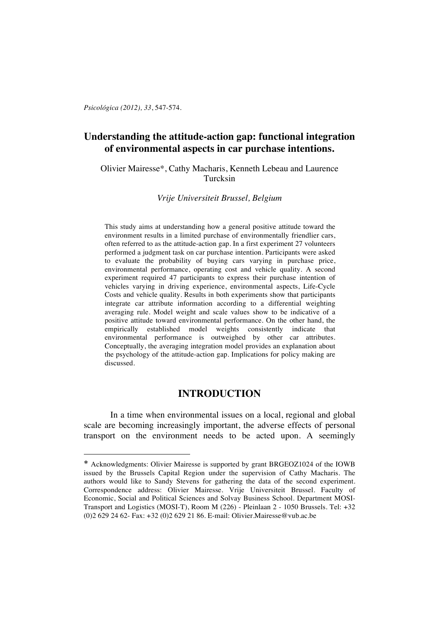*Psicológica (2012), 33*, 547-574.

 $\overline{a}$ 

# **Understanding the attitude-action gap: functional integration of environmental aspects in car purchase intentions.**

Olivier Mairesse\*, Cathy Macharis, Kenneth Lebeau and Laurence Turcksin

*Vrije Universiteit Brussel, Belgium*

This study aims at understanding how a general positive attitude toward the environment results in a limited purchase of environmentally friendlier cars, often referred to as the attitude-action gap. In a first experiment 27 volunteers performed a judgment task on car purchase intention. Participants were asked to evaluate the probability of buying cars varying in purchase price, environmental performance, operating cost and vehicle quality. A second experiment required 47 participants to express their purchase intention of vehicles varying in driving experience, environmental aspects, Life-Cycle Costs and vehicle quality. Results in both experiments show that participants integrate car attribute information according to a differential weighting averaging rule. Model weight and scale values show to be indicative of a positive attitude toward environmental performance. On the other hand, the empirically established model weights consistently indicate that environmental performance is outweighed by other car attributes. Conceptually, the averaging integration model provides an explanation about the psychology of the attitude-action gap. Implications for policy making are discussed.

# **INTRODUCTION**

In a time when environmental issues on a local, regional and global scale are becoming increasingly important, the adverse effects of personal transport on the environment needs to be acted upon. A seemingly

<sup>\*</sup> Acknowledgments: Olivier Mairesse is supported by grant BRGEOZ1024 of the IOWB issued by the Brussels Capital Region under the supervision of Cathy Macharis. The authors would like to Sandy Stevens for gathering the data of the second experiment. Correspondence address: Olivier Mairesse. Vrije Universiteit Brussel. Faculty of Economic, Social and Political Sciences and Solvay Business School. Department MOSI-Transport and Logistics (MOSI-T), Room M (226) - Pleinlaan 2 - 1050 Brussels. Tel: +32 (0)2 629 24 62- Fax: +32 (0)2 629 21 86. E-mail: Olivier.Mairesse@vub.ac.be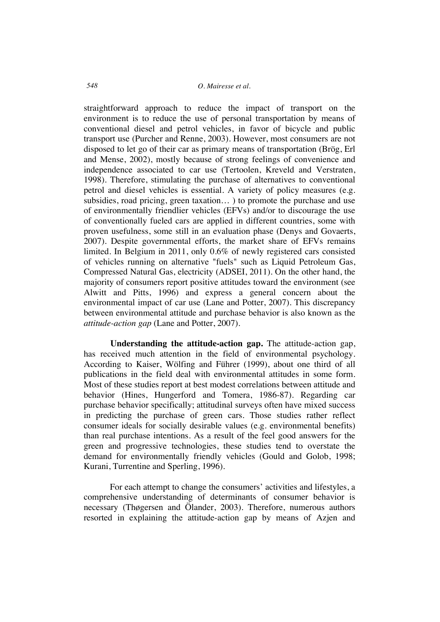straightforward approach to reduce the impact of transport on the environment is to reduce the use of personal transportation by means of conventional diesel and petrol vehicles, in favor of bicycle and public transport use (Purcher and Renne, 2003). However, most consumers are not disposed to let go of their car as primary means of transportation (Brög, Erl and Mense, 2002), mostly because of strong feelings of convenience and independence associated to car use (Tertoolen, Kreveld and Verstraten, 1998). Therefore, stimulating the purchase of alternatives to conventional petrol and diesel vehicles is essential. A variety of policy measures (e.g. subsidies, road pricing, green taxation… ) to promote the purchase and use of environmentally friendlier vehicles (EFVs) and/or to discourage the use of conventionally fueled cars are applied in different countries, some with proven usefulness, some still in an evaluation phase (Denys and Govaerts, 2007). Despite governmental efforts, the market share of EFVs remains limited. In Belgium in 2011, only 0.6% of newly registered cars consisted of vehicles running on alternative "fuels" such as Liquid Petroleum Gas, Compressed Natural Gas, electricity (ADSEI, 2011). On the other hand, the majority of consumers report positive attitudes toward the environment (see Alwitt and Pitts, 1996) and express a general concern about the environmental impact of car use (Lane and Potter, 2007). This discrepancy between environmental attitude and purchase behavior is also known as the *attitude-action gap* (Lane and Potter, 2007).

**Understanding the attitude-action gap.** The attitude-action gap, has received much attention in the field of environmental psychology. According to Kaiser, Wölfing and Führer (1999), about one third of all publications in the field deal with environmental attitudes in some form. Most of these studies report at best modest correlations between attitude and behavior (Hines, Hungerford and Tomera, 1986-87). Regarding car purchase behavior specifically; attitudinal surveys often have mixed success in predicting the purchase of green cars. Those studies rather reflect consumer ideals for socially desirable values (e.g. environmental benefits) than real purchase intentions. As a result of the feel good answers for the green and progressive technologies, these studies tend to overstate the demand for environmentally friendly vehicles (Gould and Golob, 1998; Kurani, Turrentine and Sperling, 1996).

For each attempt to change the consumers' activities and lifestyles, a comprehensive understanding of determinants of consumer behavior is necessary (Thøgersen and Ölander, 2003). Therefore, numerous authors resorted in explaining the attitude-action gap by means of Azjen and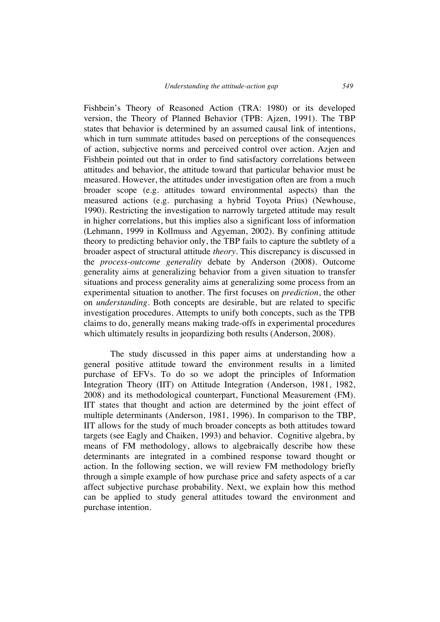Fishbein's Theory of Reasoned Action (TRA: 1980) or its developed version, the Theory of Planned Behavior (TPB: Ajzen, 1991). The TBP states that behavior is determined by an assumed causal link of intentions, which in turn summate attitudes based on perceptions of the consequences of action, subjective norms and perceived control over action. Azjen and Fishbein pointed out that in order to find satisfactory correlations between attitudes and behavior, the attitude toward that particular behavior must be measured. However, the attitudes under investigation often are from a much broader scope (e.g. attitudes toward environmental aspects) than the measured actions (e.g. purchasing a hybrid Toyota Prius) (Newhouse, 1990). Restricting the investigation to narrowly targeted attitude may result in higher correlations, but this implies also a significant loss of information (Lehmann, 1999 in Kollmuss and Agyeman, 2002). By confining attitude theory to predicting behavior only, the TBP fails to capture the subtlety of a broader aspect of structural attitude *theory*. This discrepancy is discussed in the *process-outcome generality* debate by Anderson (2008). Outcome generality aims at generalizing behavior from a given situation to transfer situations and process generality aims at generalizing some process from an experimental situation to another. The first focuses on *prediction*, the other on *understanding*. Both concepts are desirable, but are related to specific investigation procedures. Attempts to unify both concepts, such as the TPB claims to do, generally means making trade-offs in experimental procedures which ultimately results in jeopardizing both results (Anderson, 2008).

The study discussed in this paper aims at understanding how a general positive attitude toward the environment results in a limited purchase of EFVs. To do so we adopt the principles of Information Integration Theory (IIT) on Attitude Integration (Anderson, 1981, 1982, 2008) and its methodological counterpart, Functional Measurement (FM). IIT states that thought and action are determined by the joint effect of multiple determinants (Anderson, 1981, 1996). In comparison to the TBP, IIT allows for the study of much broader concepts as both attitudes toward targets (see Eagly and Chaiken, 1993) and behavior. Cognitive algebra, by means of FM methodology, allows to algebraically describe how these determinants are integrated in a combined response toward thought or action. In the following section, we will review FM methodology briefly through a simple example of how purchase price and safety aspects of a car affect subjective purchase probability. Next, we explain how this method can be applied to study general attitudes toward the environment and purchase intention.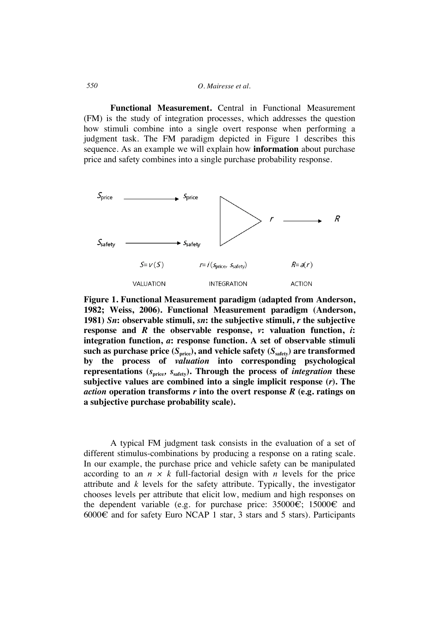## *550 O. Mairesse et al.*

**Functional Measurement.** Central in Functional Measurement (FM) is the study of integration processes, which addresses the question how stimuli combine into a single overt response when performing a judgment task. The FM paradigm depicted in Figure 1 describes this sequence. As an example we will explain how **information** about purchase price and safety combines into a single purchase probability response.



**Figure 1. Functional Measurement paradigm (adapted from Anderson, 1982; Weiss, 2006). Functional Measurement paradigm (Anderson, 1981)** *Sn***: observable stimuli,** *sn***: the subjective stimuli,** *r* **the subjective response and** *R* **the observable response,** *v***: valuation function,** *i***: integration function,** *a***: response function. A set of observable stimuli**  such as purchase price  $(S_{\text{price}})$ , and vehicle safety  $(S_{\text{safe}})$  are transformed **by the process of** *valuation* **into corresponding psychological**  representations  $(s_{\text{price}}, s_{\text{safe}})$ . Through the process of *integration* these **subjective values are combined into a single implicit response (***r***). The**  *action* **operation transforms** *r* **into the overt response** *R* **(e.g. ratings on a subjective purchase probability scale).**

A typical FM judgment task consists in the evaluation of a set of different stimulus-combinations by producing a response on a rating scale. In our example, the purchase price and vehicle safety can be manipulated according to an  $n \times k$  full-factorial design with *n* levels for the price attribute and *k* levels for the safety attribute. Typically, the investigator chooses levels per attribute that elicit low, medium and high responses on the dependent variable (e.g. for purchase price:  $35000 \in$ ;  $15000 \in$  and 6000€ and for safety Euro NCAP 1 star, 3 stars and 5 stars). Participants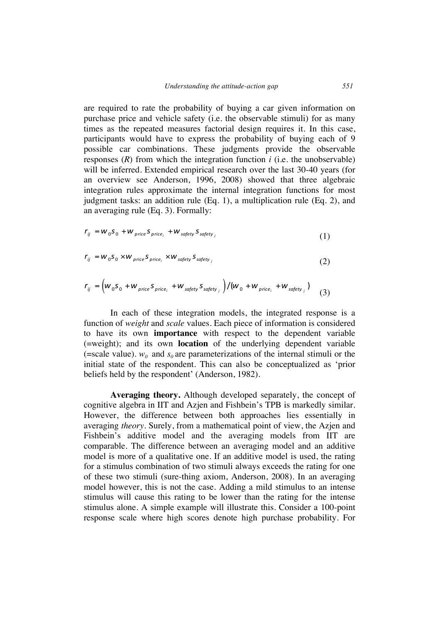are required to rate the probability of buying a car given information on purchase price and vehicle safety (i.e. the observable stimuli) for as many times as the repeated measures factorial design requires it. In this case, participants would have to express the probability of buying each of 9 possible car combinations. These judgments provide the observable responses (*R*) from which the integration function *i* (i.e. the unobservable) will be inferred. Extended empirical research over the last 30-40 years (for an overview see Anderson, 1996, 2008) showed that three algebraic integration rules approximate the internal integration functions for most judgment tasks: an addition rule (Eq. 1), a multiplication rule (Eq. 2), and an averaging rule (Eq. 3). Formally:

$$
r_{ij} = w_0 S_0 + w_{price} S_{price_i} + w_{softy} S_{softy_i}
$$
\n(1)

$$
r_{ij} = w_0 s_0 \times w_{price} s_{price_i} \times w_{safety} s_{safety_j}
$$
\n(2)

$$
r_{ij} = \left(w_0 s_0 + w_{price} s_{price_i} + w_{safety} s_{safety_j}\right) / \left(w_0 + w_{price_i} + w_{safety_j}\right)
$$
 (3)

In each of these integration models, the integrated response is a function of *weight* and *scale* values. Each piece of information is considered to have its own **importance** with respect to the dependent variable (=weight); and its own **location** of the underlying dependent variable (=scale value).  $w_0$  and  $s_0$  are parameterizations of the internal stimuli or the initial state of the respondent. This can also be conceptualized as 'prior beliefs held by the respondent' (Anderson, 1982).

**Averaging theory.** Although developed separately, the concept of cognitive algebra in IIT and Azjen and Fishbein's TPB is markedly similar. However, the difference between both approaches lies essentially in averaging *theory*. Surely, from a mathematical point of view, the Azjen and Fishbein's additive model and the averaging models from IIT are comparable. The difference between an averaging model and an additive model is more of a qualitative one. If an additive model is used, the rating for a stimulus combination of two stimuli always exceeds the rating for one of these two stimuli (sure-thing axiom, Anderson, 2008). In an averaging model however, this is not the case. Adding a mild stimulus to an intense stimulus will cause this rating to be lower than the rating for the intense stimulus alone. A simple example will illustrate this. Consider a 100-point response scale where high scores denote high purchase probability. For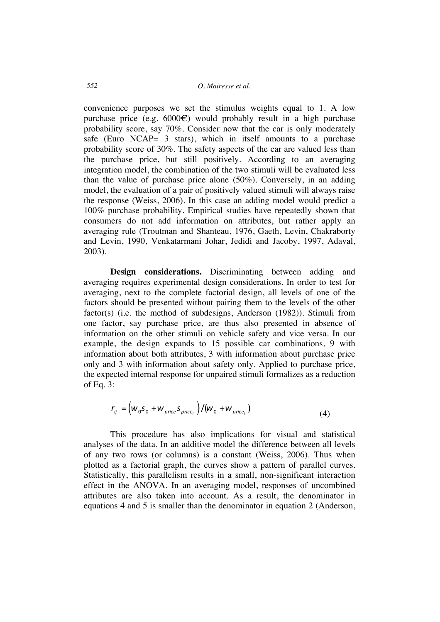convenience purposes we set the stimulus weights equal to 1. A low purchase price (e.g.  $6000 \in$ ) would probably result in a high purchase probability score, say 70%. Consider now that the car is only moderately safe (Euro NCAP= 3 stars), which in itself amounts to a purchase probability score of 30%. The safety aspects of the car are valued less than the purchase price, but still positively. According to an averaging integration model, the combination of the two stimuli will be evaluated less than the value of purchase price alone (50%). Conversely, in an adding model, the evaluation of a pair of positively valued stimuli will always raise the response (Weiss, 2006). In this case an adding model would predict a 100% purchase probability. Empirical studies have repeatedly shown that consumers do not add information on attributes, but rather apply an averaging rule (Troutman and Shanteau, 1976, Gaeth, Levin, Chakraborty and Levin, 1990, Venkatarmani Johar, Jedidi and Jacoby, 1997, Adaval, 2003).

**Design considerations.** Discriminating between adding and averaging requires experimental design considerations. In order to test for averaging, next to the complete factorial design, all levels of one of the factors should be presented without pairing them to the levels of the other factor(s) (i.e. the method of subdesigns, Anderson (1982)). Stimuli from one factor, say purchase price, are thus also presented in absence of information on the other stimuli on vehicle safety and vice versa. In our example, the design expands to 15 possible car combinations, 9 with information about both attributes, 3 with information about purchase price only and 3 with information about safety only. Applied to purchase price, the expected internal response for unpaired stimuli formalizes as a reduction of Eq. 3:

$$
r_{ij} = \left(\boldsymbol{W}_0 \boldsymbol{S}_0 + \boldsymbol{W}_{price} \boldsymbol{S}_{price_i}\right) / \left(\boldsymbol{W}_0 + \boldsymbol{W}_{price_i}\right) \tag{4}
$$

This procedure has also implications for visual and statistical analyses of the data. In an additive model the difference between all levels of any two rows (or columns) is a constant (Weiss, 2006). Thus when plotted as a factorial graph, the curves show a pattern of parallel curves. Statistically, this parallelism results in a small, non-significant interaction effect in the ANOVA. In an averaging model, responses of uncombined attributes are also taken into account. As a result, the denominator in equations 4 and 5 is smaller than the denominator in equation 2 (Anderson,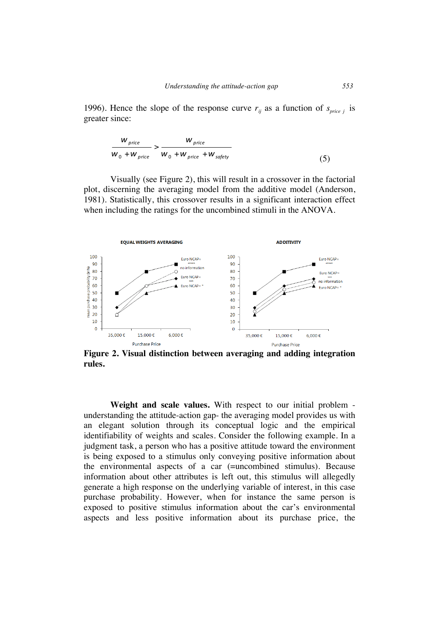1996). Hence the slope of the response curve  $r_{ij}$  as a function of  $s_{price}$  *j* is greater since:

$$
\frac{W_{price}}{W_0 + W_{price}} > \frac{W_{price}}{W_0 + W_{price} + W_{safety}}
$$
(5)

Visually (see Figure 2), this will result in a crossover in the factorial plot, discerning the averaging model from the additive model (Anderson, 1981). Statistically, this crossover results in a significant interaction effect when including the ratings for the uncombined stimuli in the ANOVA.



**Figure 2. Visual distinction between averaging and adding integration rules.**

**Weight and scale values.** With respect to our initial problem understanding the attitude-action gap- the averaging model provides us with an elegant solution through its conceptual logic and the empirical identifiability of weights and scales. Consider the following example. In a judgment task, a person who has a positive attitude toward the environment is being exposed to a stimulus only conveying positive information about the environmental aspects of a car (=uncombined stimulus). Because information about other attributes is left out, this stimulus will allegedly generate a high response on the underlying variable of interest, in this case purchase probability. However, when for instance the same person is exposed to positive stimulus information about the car's environmental aspects and less positive information about its purchase price, the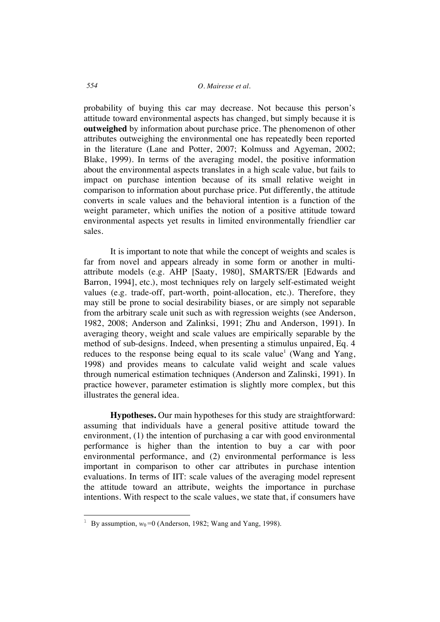probability of buying this car may decrease. Not because this person's attitude toward environmental aspects has changed, but simply because it is **outweighed** by information about purchase price. The phenomenon of other attributes outweighing the environmental one has repeatedly been reported in the literature (Lane and Potter, 2007; Kolmuss and Agyeman, 2002; Blake, 1999). In terms of the averaging model, the positive information about the environmental aspects translates in a high scale value, but fails to impact on purchase intention because of its small relative weight in comparison to information about purchase price. Put differently, the attitude converts in scale values and the behavioral intention is a function of the weight parameter, which unifies the notion of a positive attitude toward environmental aspects yet results in limited environmentally friendlier car sales.

It is important to note that while the concept of weights and scales is far from novel and appears already in some form or another in multiattribute models (e.g. AHP [Saaty, 1980], SMARTS/ER [Edwards and Barron, 1994], etc.), most techniques rely on largely self-estimated weight values (e.g. trade-off, part-worth, point-allocation, etc.). Therefore, they may still be prone to social desirability biases, or are simply not separable from the arbitrary scale unit such as with regression weights (see Anderson, 1982, 2008; Anderson and Zalinksi, 1991; Zhu and Anderson, 1991). In averaging theory, weight and scale values are empirically separable by the method of sub-designs. Indeed, when presenting a stimulus unpaired, Eq. 4 reduces to the response being equal to its scale value<sup>1</sup> (Wang and Yang, 1998) and provides means to calculate valid weight and scale values through numerical estimation techniques (Anderson and Zalinski, 1991). In practice however, parameter estimation is slightly more complex, but this illustrates the general idea.

**Hypotheses.** Our main hypotheses for this study are straightforward: assuming that individuals have a general positive attitude toward the environment, (1) the intention of purchasing a car with good environmental performance is higher than the intention to buy a car with poor environmental performance, and (2) environmental performance is less important in comparison to other car attributes in purchase intention evaluations. In terms of IIT: scale values of the averaging model represent the attitude toward an attribute, weights the importance in purchase intentions. With respect to the scale values, we state that, if consumers have

 $\overline{a}$ 

<sup>&</sup>lt;sup>1</sup> By assumption,  $w_0$ =0 (Anderson, 1982; Wang and Yang, 1998).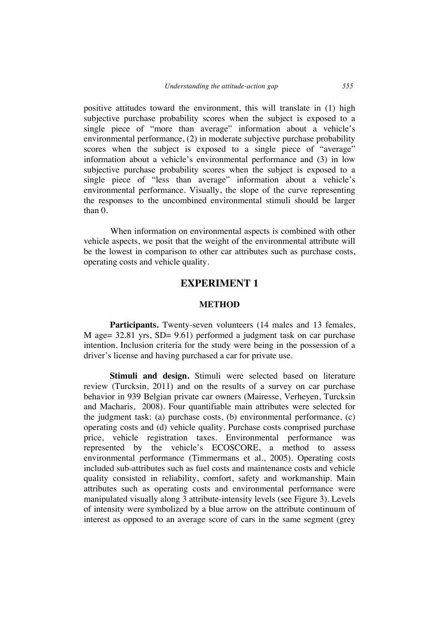positive attitudes toward the environment, this will translate in (1) high subjective purchase probability scores when the subject is exposed to a single piece of "more than average" information about a vehicle's environmental performance, (2) in moderate subjective purchase probability scores when the subject is exposed to a single piece of "average" information about a vehicle's environmental performance and (3) in low subjective purchase probability scores when the subject is exposed to a single piece of "less than average" information about a vehicle's environmental performance. Visually, the slope of the curve representing the responses to the uncombined environmental stimuli should be larger than 0.

When information on environmental aspects is combined with other vehicle aspects, we posit that the weight of the environmental attribute will be the lowest in comparison to other car attributes such as purchase costs, operating costs and vehicle quality.

# **EXPERIMENT 1**

## **METHOD**

**Participants.** Twenty-seven volunteers (14 males and 13 females, M age= 32.81 yrs, SD= 9.61) performed a judgment task on car purchase intention. Inclusion criteria for the study were being in the possession of a driver's license and having purchased a car for private use.

**Stimuli and design.** Stimuli were selected based on literature review (Turcksin, 2011) and on the results of a survey on car purchase behavior in 939 Belgian private car owners (Mairesse, Verheyen, Turcksin and Macharis, 2008). Four quantifiable main attributes were selected for the judgment task: (a) purchase costs, (b) environmental performance, (c) operating costs and (d) vehicle quality. Purchase costs comprised purchase price, vehicle registration taxes. Environmental performance was represented by the vehicle's ECOSCORE, a method to assess environmental performance (Timmermans et al., 2005). Operating costs included sub-attributes such as fuel costs and maintenance costs and vehicle quality consisted in reliability, comfort, safety and workmanship. Main attributes such as operating costs and environmental performance were manipulated visually along 3 attribute-intensity levels (see Figure 3). Levels of intensity were symbolized by a blue arrow on the attribute continuum of interest as opposed to an average score of cars in the same segment (grey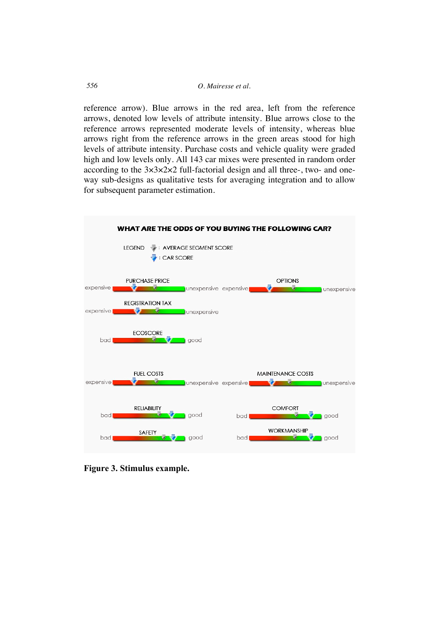reference arrow). Blue arrows in the red area, left from the reference arrows, denoted low levels of attribute intensity. Blue arrows close to the reference arrows represented moderate levels of intensity, whereas blue arrows right from the reference arrows in the green areas stood for high levels of attribute intensity. Purchase costs and vehicle quality were graded high and low levels only. All 143 car mixes were presented in random order according to the 3×3×2×2 full-factorial design and all three-, two- and oneway sub-designs as qualitative tests for averaging integration and to allow for subsequent parameter estimation.



**Figure 3. Stimulus example.**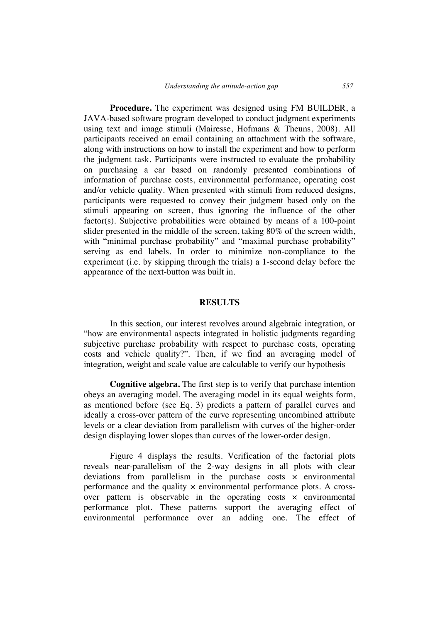**Procedure.** The experiment was designed using FM BUILDER, a JAVA-based software program developed to conduct judgment experiments using text and image stimuli (Mairesse, Hofmans & Theuns, 2008). All participants received an email containing an attachment with the software, along with instructions on how to install the experiment and how to perform the judgment task. Participants were instructed to evaluate the probability on purchasing a car based on randomly presented combinations of information of purchase costs, environmental performance, operating cost and/or vehicle quality. When presented with stimuli from reduced designs, participants were requested to convey their judgment based only on the stimuli appearing on screen, thus ignoring the influence of the other factor(s). Subjective probabilities were obtained by means of a 100-point slider presented in the middle of the screen, taking 80% of the screen width, with "minimal purchase probability" and "maximal purchase probability" serving as end labels. In order to minimize non-compliance to the experiment (i.e. by skipping through the trials) a 1-second delay before the appearance of the next-button was built in.

## **RESULTS**

In this section, our interest revolves around algebraic integration, or "how are environmental aspects integrated in holistic judgments regarding subjective purchase probability with respect to purchase costs, operating costs and vehicle quality?". Then, if we find an averaging model of integration, weight and scale value are calculable to verify our hypothesis

**Cognitive algebra.** The first step is to verify that purchase intention obeys an averaging model. The averaging model in its equal weights form, as mentioned before (see Eq. 3) predicts a pattern of parallel curves and ideally a cross-over pattern of the curve representing uncombined attribute levels or a clear deviation from parallelism with curves of the higher-order design displaying lower slopes than curves of the lower-order design.

Figure 4 displays the results. Verification of the factorial plots reveals near-parallelism of the 2-way designs in all plots with clear deviations from parallelism in the purchase costs × environmental performance and the quality  $\times$  environmental performance plots. A crossover pattern is observable in the operating costs  $\times$  environmental performance plot. These patterns support the averaging effect of environmental performance over an adding one. The effect of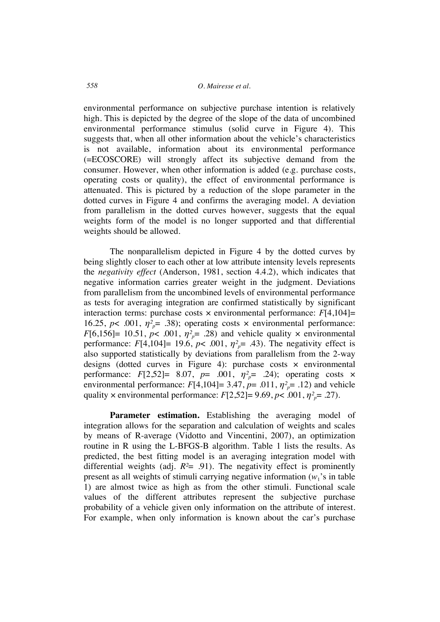environmental performance on subjective purchase intention is relatively high. This is depicted by the degree of the slope of the data of uncombined environmental performance stimulus (solid curve in Figure 4). This suggests that, when all other information about the vehicle's characteristics is not available, information about its environmental performance (=ECOSCORE) will strongly affect its subjective demand from the consumer. However, when other information is added (e.g. purchase costs, operating costs or quality), the effect of environmental performance is attenuated. This is pictured by a reduction of the slope parameter in the dotted curves in Figure 4 and confirms the averaging model. A deviation from parallelism in the dotted curves however, suggests that the equal weights form of the model is no longer supported and that differential weights should be allowed.

The nonparallelism depicted in Figure 4 by the dotted curves by being slightly closer to each other at low attribute intensity levels represents the *negativity effect* (Anderson, 1981, section 4.4.2), which indicates that negative information carries greater weight in the judgment. Deviations from parallelism from the uncombined levels of environmental performance as tests for averaging integration are confirmed statistically by significant interaction terms: purchase costs  $\times$  environmental performance:  $F[4,104] =$ 16.25,  $p$ < .001,  $\eta^2$ <sup> $=$ </sup> .38); operating costs  $\times$  environmental performance: *F*[6,156]= 10.51, *p*< .001,  $\eta^2 \bar{p}$  = .28) and vehicle quality  $\times$  environmental performance:  $F[4,104] = 19.6$ ,  $p < .001$ ,  $\eta^2 = .43$ ). The negativity effect is also supported statistically by deviations from parallelism from the 2-way designs (dotted curves in Figure 4): purchase costs × environmental performance: *F*[2,52]= 8.07, *p*= .001,  $\eta^2_{p}$ = .24); operating costs × environmental performance:  $F[4,104] = 3.47$ ,  $p = .011$ ,  $\eta^2_{p} = .12$ ) and vehicle quality  $\times$  environmental performance:  $F[2,52] = 9.69$ ,  $p < .001$ ,  $\eta^2 = .27$ ).

Parameter estimation. Establishing the averaging model of integration allows for the separation and calculation of weights and scales by means of R-average (Vidotto and Vincentini, 2007), an optimization routine in R using the L-BFGS-B algorithm. Table 1 lists the results. As predicted, the best fitting model is an averaging integration model with differential weights (adj.  $R<sup>2</sup> = .91$ ). The negativity effect is prominently present as all weights of stimuli carrying negative information  $(w_1)$ 's in table 1) are almost twice as high as from the other stimuli. Functional scale values of the different attributes represent the subjective purchase probability of a vehicle given only information on the attribute of interest. For example, when only information is known about the car's purchase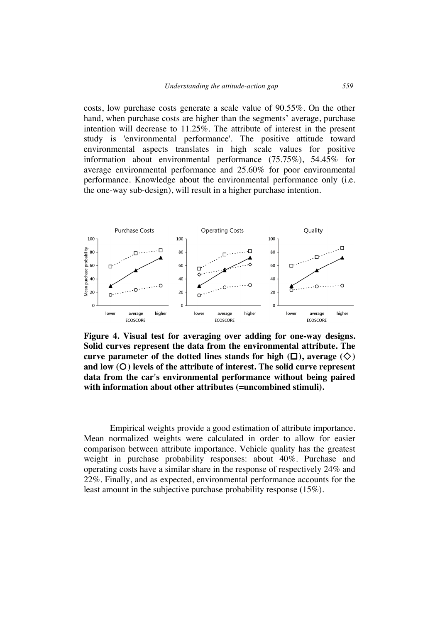costs, low purchase costs generate a scale value of 90.55%. On the other hand, when purchase costs are higher than the segments' average, purchase intention will decrease to 11.25%. The attribute of interest in the present study is 'environmental performance'. The positive attitude toward environmental aspects translates in high scale values for positive information about environmental performance (75.75%), 54.45% for average environmental performance and 25.60% for poor environmental performance. Knowledge about the environmental performance only (i.e. the one-way sub-design), will result in a higher purchase intention.



**Figure 4. Visual test for averaging over adding for one-way designs. Solid curves represent the data from the environmental attribute. The curve parameter of the dotted lines stands for high**  $(\Box)$ **, average**  $(\Diamond)$ and low (O) levels of the attribute of interest. The solid curve represent **data from the car's environmental performance without being paired with information about other attributes (=uncombined stimuli).**

Empirical weights provide a good estimation of attribute importance. Mean normalized weights were calculated in order to allow for easier comparison between attribute importance. Vehicle quality has the greatest weight in purchase probability responses: about 40%. Purchase and operating costs have a similar share in the response of respectively 24% and 22%. Finally, and as expected, environmental performance accounts for the least amount in the subjective purchase probability response (15%).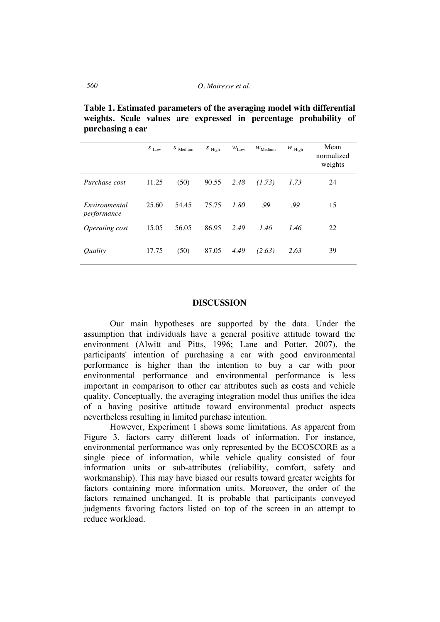**Table 1. Estimated parameters of the averaging model with differential weights. Scale values are expressed in percentage probability of purchasing a car**

|                              | $S$ $_{\rm Low}$ | $S$ Medium | $S$ High | $W_{\text{Low}}$ | $W_{\text{Medium}}$ | $W$ High | Mean<br>normalized<br>weights |
|------------------------------|------------------|------------|----------|------------------|---------------------|----------|-------------------------------|
| Purchase cost                | 11.25            | (50)       | 90.55    | 2.48             | (1.73)              | 1.73     | 24                            |
| Environmental<br>performance | 25.60            | 54.45      | 75.75    | 1.80             | .99                 | .99      | 15                            |
| Operating cost               | 15.05            | 56.05      | 86.95    | 2.49             | 1.46                | 1.46     | 22                            |
| Quality                      | 17.75            | (50)       | 87.05    | 4.49             | (2.63)              | 2.63     | 39                            |

## **DISCUSSION**

Our main hypotheses are supported by the data. Under the assumption that individuals have a general positive attitude toward the environment (Alwitt and Pitts, 1996; Lane and Potter, 2007), the participants' intention of purchasing a car with good environmental performance is higher than the intention to buy a car with poor environmental performance and environmental performance is less important in comparison to other car attributes such as costs and vehicle quality. Conceptually, the averaging integration model thus unifies the idea of a having positive attitude toward environmental product aspects nevertheless resulting in limited purchase intention.

However, Experiment 1 shows some limitations. As apparent from Figure 3, factors carry different loads of information. For instance, environmental performance was only represented by the ECOSCORE as a single piece of information, while vehicle quality consisted of four information units or sub-attributes (reliability, comfort, safety and workmanship). This may have biased our results toward greater weights for factors containing more information units. Moreover, the order of the factors remained unchanged. It is probable that participants conveyed judgments favoring factors listed on top of the screen in an attempt to reduce workload.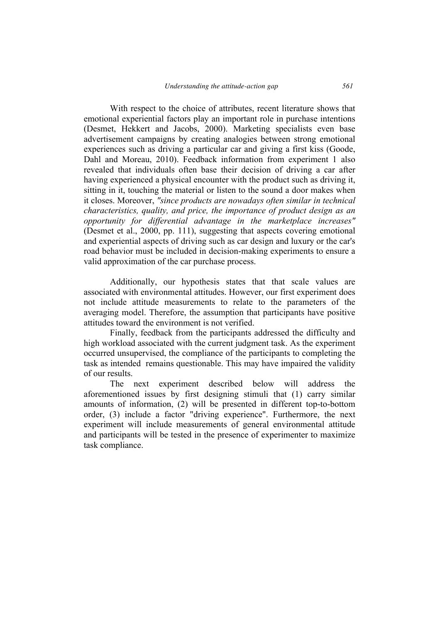With respect to the choice of attributes, recent literature shows that emotional experiential factors play an important role in purchase intentions (Desmet, Hekkert and Jacobs, 2000). Marketing specialists even base advertisement campaigns by creating analogies between strong emotional experiences such as driving a particular car and giving a first kiss (Goode, Dahl and Moreau, 2010). Feedback information from experiment 1 also revealed that individuals often base their decision of driving a car after having experienced a physical encounter with the product such as driving it, sitting in it, touching the material or listen to the sound a door makes when it closes. Moreover, *"since products are nowadays often similar in technical characteristics, quality, and price, the importance of product design as an opportunity for differential advantage in the marketplace increases"* (Desmet et al., 2000, pp. 111), suggesting that aspects covering emotional and experiential aspects of driving such as car design and luxury or the car's road behavior must be included in decision-making experiments to ensure a valid approximation of the car purchase process.

Additionally, our hypothesis states that that scale values are associated with environmental attitudes. However, our first experiment does not include attitude measurements to relate to the parameters of the averaging model. Therefore, the assumption that participants have positive attitudes toward the environment is not verified.

Finally, feedback from the participants addressed the difficulty and high workload associated with the current judgment task. As the experiment occurred unsupervised, the compliance of the participants to completing the task as intended remains questionable. This may have impaired the validity of our results.

The next experiment described below will address the aforementioned issues by first designing stimuli that (1) carry similar amounts of information, (2) will be presented in different top-to-bottom order, (3) include a factor "driving experience". Furthermore, the next experiment will include measurements of general environmental attitude and participants will be tested in the presence of experimenter to maximize task compliance.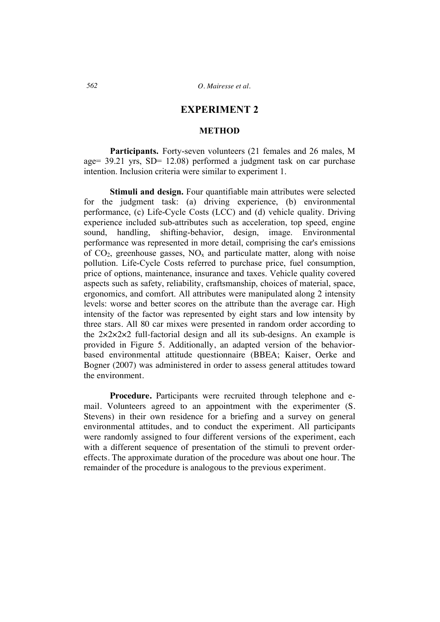# **EXPERIMENT 2**

## **METHOD**

**Participants.** Forty-seven volunteers (21 females and 26 males, M age= 39.21 yrs, SD= 12.08) performed a judgment task on car purchase intention. Inclusion criteria were similar to experiment 1.

**Stimuli and design.** Four quantifiable main attributes were selected for the judgment task: (a) driving experience, (b) environmental performance, (c) Life-Cycle Costs (LCC) and (d) vehicle quality. Driving experience included sub-attributes such as acceleration, top speed, engine sound, handling, shifting-behavior, design, image. Environmental performance was represented in more detail, comprising the car's emissions of  $CO<sub>2</sub>$ , greenhouse gasses,  $NO<sub>x</sub>$  and particulate matter, along with noise pollution. Life-Cycle Costs referred to purchase price, fuel consumption, price of options, maintenance, insurance and taxes. Vehicle quality covered aspects such as safety, reliability, craftsmanship, choices of material, space, ergonomics, and comfort. All attributes were manipulated along 2 intensity levels: worse and better scores on the attribute than the average car. High intensity of the factor was represented by eight stars and low intensity by three stars. All 80 car mixes were presented in random order according to the  $2 \times 2 \times 2 \times 2$  full-factorial design and all its sub-designs. An example is provided in Figure 5. Additionally, an adapted version of the behaviorbased environmental attitude questionnaire (BBEA; Kaiser, Oerke and Bogner (2007) was administered in order to assess general attitudes toward the environment.

**Procedure.** Participants were recruited through telephone and email. Volunteers agreed to an appointment with the experimenter (S. Stevens) in their own residence for a briefing and a survey on general environmental attitudes, and to conduct the experiment. All participants were randomly assigned to four different versions of the experiment, each with a different sequence of presentation of the stimuli to prevent ordereffects. The approximate duration of the procedure was about one hour. The remainder of the procedure is analogous to the previous experiment.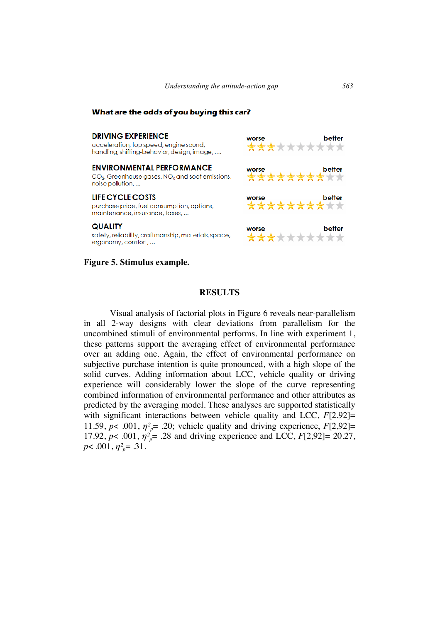worse

### What are the odds of you buying this car?

## **DRIVING EXPERIENCE**

acceleration, top speed, engine sound, handling, shifting-behavior, design, image, ....

#### **ENVIRONMENTAL PERFORMANCE**

CO<sub>2</sub>, Greenhouse gases, NO<sub>2</sub> and soot emissions, noise pollution, ...

### **LIFE CYCLE COSTS**

purchase price, fuel consumption, options, maintenance, insurance, taxes, ...

#### **QUALITY**

safety, reliability, craftmanship, materials, space, ergonomy, comfort, ...

### **Figure 5. Stimulus example.**



## **RESULTS**

Visual analysis of factorial plots in Figure 6 reveals near-parallelism in all 2-way designs with clear deviations from parallelism for the uncombined stimuli of environmental performs. In line with experiment 1, these patterns support the averaging effect of environmental performance over an adding one. Again, the effect of environmental performance on subjective purchase intention is quite pronounced, with a high slope of the solid curves. Adding information about LCC, vehicle quality or driving experience will considerably lower the slope of the curve representing combined information of environmental performance and other attributes as predicted by the averaging model. These analyses are supported statistically with significant interactions between vehicle quality and LCC, *F*[2,92]= 11.59,  $p$ < .001,  $\eta^2$ <sup>*p*</sup> = .20; vehicle quality and driving experience,  $F[2,92]$ = 17.92,  $p$ < .001,  $\eta^2 = 0.28$  and driving experience and LCC,  $F[2,92] = 20.27$ ,  $p$ < .001,  $\eta^2 = 0.31$ .

better

\*\*\*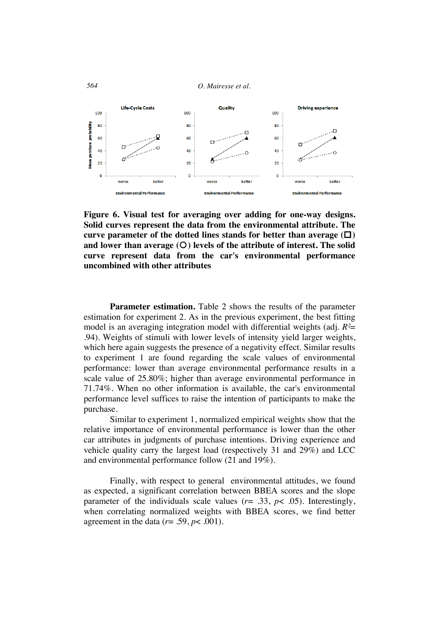*564 O. Mairesse et al.*



**Figure 6. Visual test for averaging over adding for one-way designs. Solid curves represent the data from the environmental attribute. The**  curve parameter of the dotted lines stands for better than average  $(\Box)$ and lower than average (O) levels of the attribute of interest. The solid **curve represent data from the car's environmental performance uncombined with other attributes**

**Parameter estimation.** Table 2 shows the results of the parameter estimation for experiment 2. As in the previous experiment, the best fitting model is an averaging integration model with differential weights (adj. *R²*= .94). Weights of stimuli with lower levels of intensity yield larger weights, which here again suggests the presence of a negativity effect. Similar results to experiment 1 are found regarding the scale values of environmental performance: lower than average environmental performance results in a scale value of 25.80%; higher than average environmental performance in 71.74%. When no other information is available, the car's environmental performance level suffices to raise the intention of participants to make the purchase.

Similar to experiment 1, normalized empirical weights show that the relative importance of environmental performance is lower than the other car attributes in judgments of purchase intentions. Driving experience and vehicle quality carry the largest load (respectively 31 and 29%) and LCC and environmental performance follow (21 and 19%).

Finally, with respect to general environmental attitudes, we found as expected, a significant correlation between BBEA scores and the slope parameter of the individuals scale values  $(r= .33, p< .05)$ . Interestingly, when correlating normalized weights with BBEA scores, we find better agreement in the data  $(r= .59, p< .001)$ .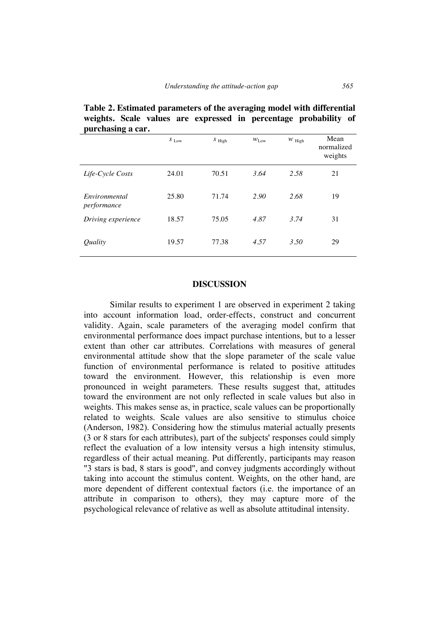| purcnasing a car.            |                  |          |                  |          |                               |
|------------------------------|------------------|----------|------------------|----------|-------------------------------|
|                              | $S$ $_{\rm Low}$ | $S$ High | $W_{\text{Low}}$ | $W$ High | Mean<br>normalized<br>weights |
| Life-Cycle Costs             | 24.01            | 70.51    | 3.64             | 2.58     | 21                            |
| Environmental<br>performance | 25.80            | 71.74    | 2.90             | 2.68     | 19                            |
| Driving experience           | 18.57            | 75.05    | 4.87             | 3.74     | 31                            |
| <i><u>Ouality</u></i>        | 19.57            | 77.38    | 4.57             | 3.50     | 29                            |

**Table 2. Estimated parameters of the averaging model with differential weights. Scale values are expressed in percentage probability of purchasing a car.**

### **DISCUSSION**

Similar results to experiment 1 are observed in experiment 2 taking into account information load, order-effects, construct and concurrent validity. Again, scale parameters of the averaging model confirm that environmental performance does impact purchase intentions, but to a lesser extent than other car attributes. Correlations with measures of general environmental attitude show that the slope parameter of the scale value function of environmental performance is related to positive attitudes toward the environment. However, this relationship is even more pronounced in weight parameters. These results suggest that, attitudes toward the environment are not only reflected in scale values but also in weights. This makes sense as, in practice, scale values can be proportionally related to weights. Scale values are also sensitive to stimulus choice (Anderson, 1982). Considering how the stimulus material actually presents (3 or 8 stars for each attributes), part of the subjects' responses could simply reflect the evaluation of a low intensity versus a high intensity stimulus, regardless of their actual meaning. Put differently, participants may reason "3 stars is bad, 8 stars is good", and convey judgments accordingly without taking into account the stimulus content. Weights, on the other hand, are more dependent of different contextual factors (i.e. the importance of an attribute in comparison to others), they may capture more of the psychological relevance of relative as well as absolute attitudinal intensity.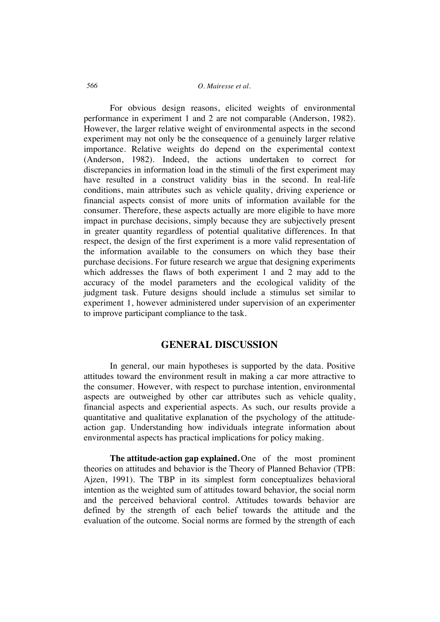# *566 O. Mairesse et al.*

For obvious design reasons, elicited weights of environmental performance in experiment 1 and 2 are not comparable (Anderson, 1982). However, the larger relative weight of environmental aspects in the second experiment may not only be the consequence of a genuinely larger relative importance. Relative weights do depend on the experimental context (Anderson, 1982). Indeed, the actions undertaken to correct for discrepancies in information load in the stimuli of the first experiment may have resulted in a construct validity bias in the second. In real-life conditions, main attributes such as vehicle quality, driving experience or financial aspects consist of more units of information available for the consumer. Therefore, these aspects actually are more eligible to have more impact in purchase decisions, simply because they are subjectively present in greater quantity regardless of potential qualitative differences. In that respect, the design of the first experiment is a more valid representation of the information available to the consumers on which they base their purchase decisions. For future research we argue that designing experiments which addresses the flaws of both experiment 1 and 2 may add to the accuracy of the model parameters and the ecological validity of the judgment task. Future designs should include a stimulus set similar to experiment 1, however administered under supervision of an experimenter to improve participant compliance to the task.

# **GENERAL DISCUSSION**

In general, our main hypotheses is supported by the data. Positive attitudes toward the environment result in making a car more attractive to the consumer. However, with respect to purchase intention, environmental aspects are outweighed by other car attributes such as vehicle quality, financial aspects and experiential aspects. As such, our results provide a quantitative and qualitative explanation of the psychology of the attitudeaction gap. Understanding how individuals integrate information about environmental aspects has practical implications for policy making.

**The attitude-action gap explained.** One of the most prominent theories on attitudes and behavior is the Theory of Planned Behavior (TPB: Ajzen, 1991). The TBP in its simplest form conceptualizes behavioral intention as the weighted sum of attitudes toward behavior, the social norm and the perceived behavioral control. Attitudes towards behavior are defined by the strength of each belief towards the attitude and the evaluation of the outcome. Social norms are formed by the strength of each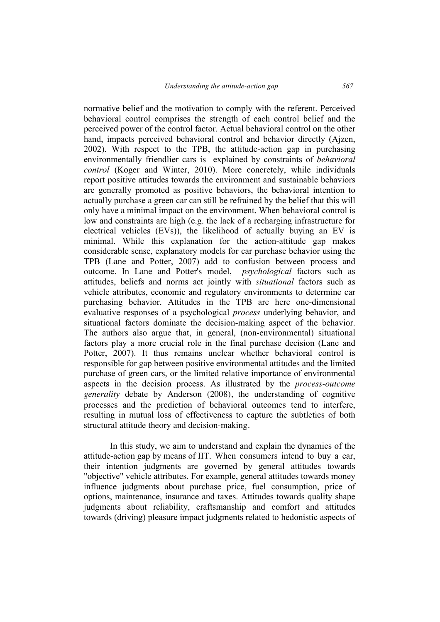normative belief and the motivation to comply with the referent. Perceived behavioral control comprises the strength of each control belief and the perceived power of the control factor. Actual behavioral control on the other hand, impacts perceived behavioral control and behavior directly (Ajzen, 2002). With respect to the TPB, the attitude-action gap in purchasing environmentally friendlier cars is explained by constraints of *behavioral control* (Koger and Winter, 2010). More concretely, while individuals report positive attitudes towards the environment and sustainable behaviors are generally promoted as positive behaviors, the behavioral intention to actually purchase a green car can still be refrained by the belief that this will only have a minimal impact on the environment. When behavioral control is low and constraints are high (e.g. the lack of a recharging infrastructure for electrical vehicles (EVs)), the likelihood of actually buying an EV is minimal. While this explanation for the action-attitude gap makes considerable sense, explanatory models for car purchase behavior using the TPB (Lane and Potter, 2007) add to confusion between process and outcome. In Lane and Potter's model, *psychological* factors such as attitudes, beliefs and norms act jointly with *situational* factors such as vehicle attributes, economic and regulatory environments to determine car purchasing behavior. Attitudes in the TPB are here one-dimensional evaluative responses of a psychological *process* underlying behavior, and situational factors dominate the decision-making aspect of the behavior. The authors also argue that, in general, (non-environmental) situational factors play a more crucial role in the final purchase decision (Lane and Potter, 2007). It thus remains unclear whether behavioral control is responsible for gap between positive environmental attitudes and the limited purchase of green cars, or the limited relative importance of environmental aspects in the decision process. As illustrated by the *process-outcome generality* debate by Anderson (2008), the understanding of cognitive processes and the prediction of behavioral outcomes tend to interfere, resulting in mutual loss of effectiveness to capture the subtleties of both structural attitude theory and decision-making.

In this study, we aim to understand and explain the dynamics of the attitude-action gap by means of IIT. When consumers intend to buy a car, their intention judgments are governed by general attitudes towards "objective" vehicle attributes. For example, general attitudes towards money influence judgments about purchase price, fuel consumption, price of options, maintenance, insurance and taxes. Attitudes towards quality shape judgments about reliability, craftsmanship and comfort and attitudes towards (driving) pleasure impact judgments related to hedonistic aspects of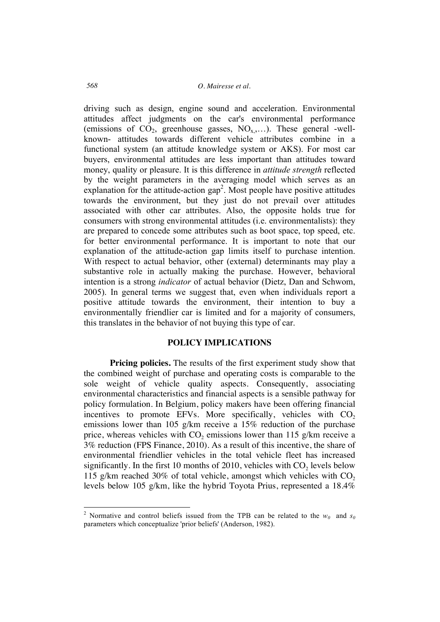driving such as design, engine sound and acceleration. Environmental attitudes affect judgments on the car's environmental performance (emissions of  $CO_2$ , greenhouse gasses,  $NO_{x},...$ ). These general -wellknown- attitudes towards different vehicle attributes combine in a functional system (an attitude knowledge system or AKS). For most car buyers, environmental attitudes are less important than attitudes toward money, quality or pleasure. It is this difference in *attitude strength* reflected by the weight parameters in the averaging model which serves as an explanation for the attitude-action  $\text{gap}^2$ . Most people have positive attitudes towards the environment, but they just do not prevail over attitudes associated with other car attributes. Also, the opposite holds true for consumers with strong environmental attitudes (i.e. environmentalists): they are prepared to concede some attributes such as boot space, top speed, etc. for better environmental performance. It is important to note that our explanation of the attitude-action gap limits itself to purchase intention. With respect to actual behavior, other (external) determinants may play a substantive role in actually making the purchase. However, behavioral intention is a strong *indicator* of actual behavior (Dietz, Dan and Schwom, 2005). In general terms we suggest that, even when individuals report a positive attitude towards the environment, their intention to buy a environmentally friendlier car is limited and for a majority of consumers, this translates in the behavior of not buying this type of car.

## **POLICY IMPLICATIONS**

**Pricing policies.** The results of the first experiment study show that the combined weight of purchase and operating costs is comparable to the sole weight of vehicle quality aspects. Consequently, associating environmental characteristics and financial aspects is a sensible pathway for policy formulation. In Belgium, policy makers have been offering financial incentives to promote EFVs. More specifically, vehicles with  $CO<sub>2</sub>$ emissions lower than 105 g/km receive a 15% reduction of the purchase price, whereas vehicles with  $CO<sub>2</sub>$  emissions lower than 115 g/km receive a 3% reduction (FPS Finance, 2010). As a result of this incentive, the share of environmental friendlier vehicles in the total vehicle fleet has increased significantly. In the first 10 months of 2010, vehicles with  $CO<sub>2</sub>$  levels below 115 g/km reached 30% of total vehicle, amongst which vehicles with  $CO<sub>2</sub>$ levels below 105 g/km, like the hybrid Toyota Prius, represented a 18.4%

<sup>&</sup>lt;sup>2</sup> Normative and control beliefs issued from the TPB can be related to the  $w_0$  and  $s_0$ parameters which conceptualize 'prior beliefs' (Anderson, 1982).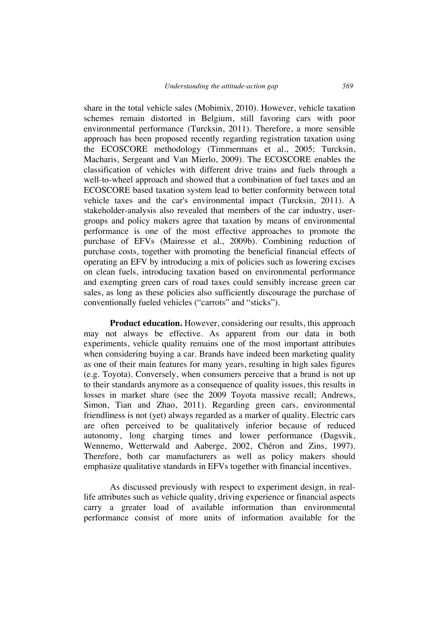share in the total vehicle sales (Mobimix, 2010). However, vehicle taxation schemes remain distorted in Belgium, still favoring cars with poor environmental performance (Turcksin, 2011). Therefore, a more sensible approach has been proposed recently regarding registration taxation using the ECOSCORE methodology (Timmermans et al., 2005; Turcksin, Macharis, Sergeant and Van Mierlo, 2009). The ECOSCORE enables the classification of vehicles with different drive trains and fuels through a well-to-wheel approach and showed that a combination of fuel taxes and an ECOSCORE based taxation system lead to better conformity between total vehicle taxes and the car's environmental impact (Turcksin, 2011). A stakeholder-analysis also revealed that members of the car industry, usergroups and policy makers agree that taxation by means of environmental performance is one of the most effective approaches to promote the purchase of EFVs (Mairesse et al., 2009b). Combining reduction of purchase costs, together with promoting the beneficial financial effects of operating an EFV by introducing a mix of policies such as lowering excises on clean fuels, introducing taxation based on environmental performance and exempting green cars of road taxes could sensibly increase green car sales, as long as these policies also sufficiently discourage the purchase of conventionally fueled vehicles ("carrots" and "sticks").

**Product education.** However, considering our results, this approach may not always be effective. As apparent from our data in both experiments, vehicle quality remains one of the most important attributes when considering buying a car. Brands have indeed been marketing quality as one of their main features for many years, resulting in high sales figures (e.g. Toyota). Conversely, when consumers perceive that a brand is not up to their standards anymore as a consequence of quality issues, this results in losses in market share (see the 2009 Toyota massive recall; Andrews, Simon, Tian and Zhao, 2011). Regarding green cars, environmental friendliness is not (yet) always regarded as a marker of quality. Electric cars are often perceived to be qualitatively inferior because of reduced autonomy, long charging times and lower performance (Dagsvik, Wennemo, Wetterwald and Aaberge, 2002, Chéron and Zins, 1997). Therefore, both car manufacturers as well as policy makers should emphasize qualitative standards in EFVs together with financial incentives.

As discussed previously with respect to experiment design, in reallife attributes such as vehicle quality, driving experience or financial aspects carry a greater load of available information than environmental performance consist of more units of information available for the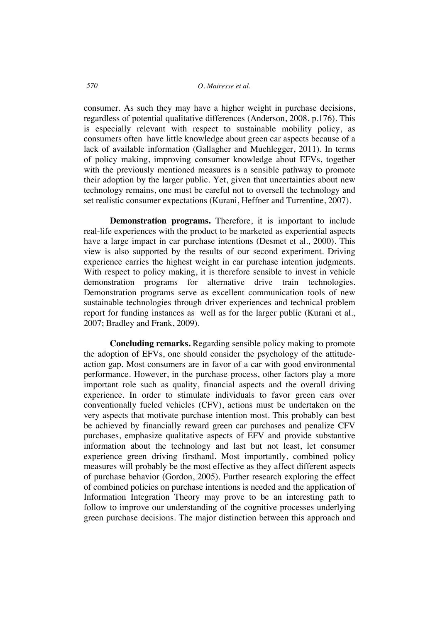consumer. As such they may have a higher weight in purchase decisions, regardless of potential qualitative differences (Anderson, 2008, p.176). This is especially relevant with respect to sustainable mobility policy, as consumers often have little knowledge about green car aspects because of a lack of available information (Gallagher and Muehlegger, 2011). In terms of policy making, improving consumer knowledge about EFVs, together with the previously mentioned measures is a sensible pathway to promote their adoption by the larger public. Yet, given that uncertainties about new technology remains, one must be careful not to oversell the technology and set realistic consumer expectations (Kurani, Heffner and Turrentine, 2007).

**Demonstration programs.** Therefore, it is important to include real-life experiences with the product to be marketed as experiential aspects have a large impact in car purchase intentions (Desmet et al., 2000). This view is also supported by the results of our second experiment. Driving experience carries the highest weight in car purchase intention judgments. With respect to policy making, it is therefore sensible to invest in vehicle demonstration programs for alternative drive train technologies. Demonstration programs serve as excellent communication tools of new sustainable technologies through driver experiences and technical problem report for funding instances as well as for the larger public (Kurani et al., 2007; Bradley and Frank, 2009).

**Concluding remarks.** Regarding sensible policy making to promote the adoption of EFVs, one should consider the psychology of the attitudeaction gap. Most consumers are in favor of a car with good environmental performance. However, in the purchase process, other factors play a more important role such as quality, financial aspects and the overall driving experience. In order to stimulate individuals to favor green cars over conventionally fueled vehicles (CFV), actions must be undertaken on the very aspects that motivate purchase intention most. This probably can best be achieved by financially reward green car purchases and penalize CFV purchases, emphasize qualitative aspects of EFV and provide substantive information about the technology and last but not least, let consumer experience green driving firsthand. Most importantly, combined policy measures will probably be the most effective as they affect different aspects of purchase behavior (Gordon, 2005). Further research exploring the effect of combined policies on purchase intentions is needed and the application of Information Integration Theory may prove to be an interesting path to follow to improve our understanding of the cognitive processes underlying green purchase decisions. The major distinction between this approach and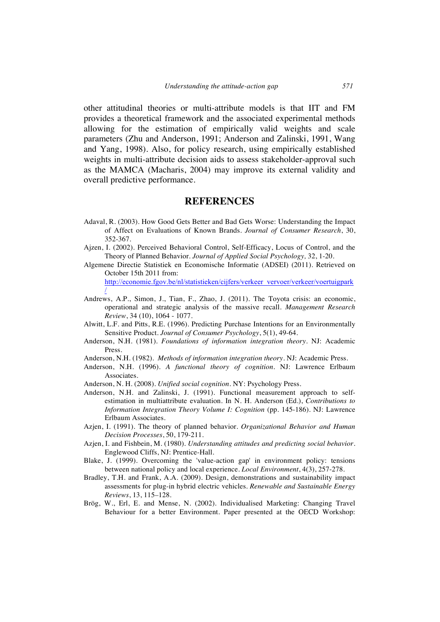other attitudinal theories or multi-attribute models is that IIT and FM provides a theoretical framework and the associated experimental methods allowing for the estimation of empirically valid weights and scale parameters (Zhu and Anderson, 1991; Anderson and Zalinski, 1991, Wang and Yang, 1998). Also, for policy research, using empirically established weights in multi-attribute decision aids to assess stakeholder-approval such as the MAMCA (Macharis, 2004) may improve its external validity and overall predictive performance.

# **REFERENCES**

- Adaval, R. (2003). How Good Gets Better and Bad Gets Worse: Understanding the Impact of Affect on Evaluations of Known Brands. *Journal of Consumer Research*, 30, 352-367.
- Ajzen, I. (2002). Perceived Behavioral Control, Self-Efficacy, Locus of Control, and the Theory of Planned Behavior. *Journal of Applied Social Psychology,* 32, 1-20.
- Algemene Directie Statistiek en Economische Informatie (ADSEI) (2011). Retrieved on October 15th 2011 from: http://economie.fgov.be/nl/statistieken/cijfers/verkeer\_vervoer/verkeer/voertuigpark /
- Andrews, A.P., Simon, J., Tian, F., Zhao, J. (2011). The Toyota crisis: an economic, operational and strategic analysis of the massive recall. *Management Research Review*, 34 (10), 1064 - 1077.
- Alwitt, L.F. and Pitts, R.E. (1996). Predicting Purchase Intentions for an Environmentally Sensitive Product. *Journal of Consumer Psychology*, 5(1), 49-64.
- Anderson, N.H. (1981). *Foundations of information integration theory*. NJ: Academic Press.
- Anderson, N.H. (1982). *Methods of information integration theory*. NJ: Academic Press.
- Anderson, N.H. (1996). *A functional theory of cognition*. NJ: Lawrence Erlbaum Associates.
- Anderson, N. H. (2008). *Unified social cognition*. NY: Psychology Press.
- Anderson, N.H. and Zalinski, J. (1991). Functional measurement approach to selfestimation in multiattribute evaluation. In N. H. Anderson (Ed.), *Contributions to Information Integration Theory Volume I: Cognition* (pp. 145-186). NJ: Lawrence Erlbaum Associates.
- Azjen, I. (1991). The theory of planned behavior. *Organizational Behavior and Human Decision Processes*, 50, 179-211.
- Azjen, I. and Fishbein, M. (1980). *Understanding attitudes and predicting social behavior*. Englewood Cliffs, NJ: Prentice-Hall.
- Blake, J. (1999). Overcoming the 'value-action gap' in environment policy: tensions between national policy and local experience. *Local Environment*, 4(3), 257-278.
- Bradley, T.H. and Frank, A.A. (2009). Design, demonstrations and sustainability impact assessments for plug-in hybrid electric vehicles. *Renewable and Sustainable Energy Reviews*, 13, 115–128.
- Brög, W., Erl, E. and Mense, N. (2002). Individualised Marketing: Changing Travel Behaviour for a better Environment. Paper presented at the OECD Workshop: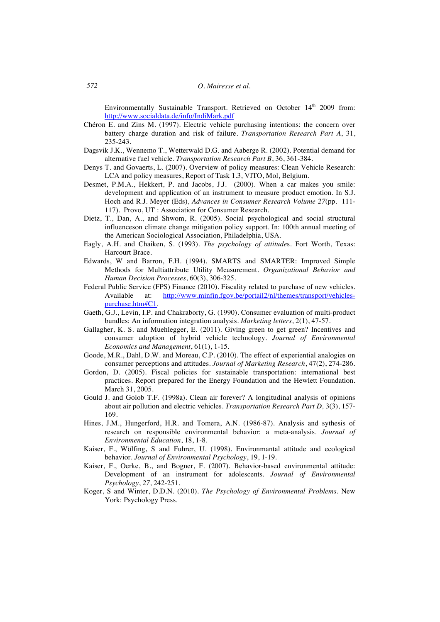Environmentally Sustainable Transport. Retrieved on October 14<sup>th</sup> 2009 from: http://www.socialdata.de/info/IndiMark.pdf

- Chéron E. and Zins M. (1997). Electric vehicle purchasing intentions: the concern over battery charge duration and risk of failure. *Transportation Research Part A*, 31, 235-243.
- Dagsvik J.K., Wennemo T., Wetterwald D.G. and Aaberge R. (2002). Potential demand for alternative fuel vehicle. *Transportation Research Part B*, 36, 361-384.
- Denys T. and Govaerts, L. (2007). Overview of policy measures: Clean Vehicle Research: LCA and policy measures, Report of Task 1.3, VITO, Mol, Belgium.
- Desmet, P.M.A., Hekkert, P. and Jacobs, J.J. (2000). When a car makes you smile: development and application of an instrument to measure product emotion. In S.J. Hoch and R.J. Meyer (Eds), *Advances in Consumer Research Volume 27*(pp. 111- 117). Provo, UT : Association for Consumer Research.
- Dietz, T., Dan, A., and Shwom, R. (2005). Social psychological and social structural influenceson climate change mitigation policy support. In: 100th annual meeting of the American Sociological Association, Philadelphia, USA.
- Eagly, A.H. and Chaiken, S. (1993). *The psychology of attitude*s. Fort Worth, Texas: Harcourt Brace.
- Edwards, W and Barron, F.H. (1994). SMARTS and SMARTER: Improved Simple Methods for Multiattribute Utility Measurement. *Organizational Behavior and Human Decision Processes*, 60(3), 306-325.
- Federal Public Service (FPS) Finance (2010). Fiscality related to purchase of new vehicles. Available at: http://www.minfin.fgov.be/portail2/nl/themes/transport/vehiclespurchase.htm#C1.
- Gaeth, G.J., Levin, I.P. and Chakraborty, G. (1990). Consumer evaluation of multi-product bundles: An information integration analysis. *Marketing letters*, 2(1), 47-57.
- Gallagher, K. S. and Muehlegger, E. (2011). Giving green to get green? Incentives and consumer adoption of hybrid vehicle technology. *Journal of Environmental Economics and Management*, 61(1), 1-15.
- Goode, M.R., Dahl, D.W. and Moreau, C.P. (2010). The effect of experiential analogies on consumer perceptions and attitudes. *Journal of Marketing Research*, 47(2), 274-286.
- Gordon, D. (2005). Fiscal policies for sustainable transportation: international best practices. Report prepared for the Energy Foundation and the Hewlett Foundation. March 31, 2005.
- Gould J. and Golob T.F. (1998a). Clean air forever? A longitudinal analysis of opinions about air pollution and electric vehicles. *Transportation Research Part D,* 3(3), 157- 169.
- Hines, J.M., Hungerford, H.R. and Tomera, A.N. (1986-87). Analysis and sythesis of research on responsible environmental behavior: a meta-analysis. *Journal of Environmental Education*, 18, 1-8.
- Kaiser, F., Wölfing, S and Fuhrer, U. (1998). Environmantal attitude and ecological behavior. *Journal of Environmental Psychology*, 19, 1-19.
- Kaiser, F., Oerke, B., and Bogner, F. (2007). Behavior-based environmental attitude: Development of an instrument for adolescents. *Journal of Environmental Psychology*, *27*, 242-251.
- Koger, S and Winter, D.D.N. (2010). *The Psychology of Environmental Problems*. New York: Psychology Press.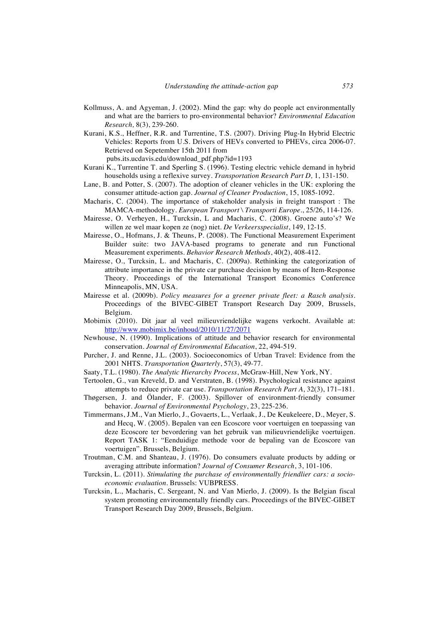- Kollmuss, A. and Agyeman, J. (2002). Mind the gap: why do people act environmentally and what are the barriers to pro-environmental behavior? *Environmental Education Research,* 8(3), 239-260.
- Kurani, K.S., Heffner, R.R. and Turrentine, T.S. (2007). Driving Plug-In Hybrid Electric Vehicles: Reports from U.S. Drivers of HEVs converted to PHEVs, circa 2006-07. Retrieved on Sepetember 15th 2011 from

pubs.its.ucdavis.edu/download\_pdf.php?id=1193

- Kurani K., Turrentine T. and Sperling S. (1996). Testing electric vehicle demand in hybrid households using a reflexive survey. *Transportation Research Part D,* 1, 131-150.
- Lane, B. and Potter, S. (2007). The adoption of cleaner vehicles in the UK: exploring the consumer attitude-action gap. *Journal of Cleaner Production*, 15, 1085-1092.
- Macharis, C. (2004). The importance of stakeholder analysis in freight transport : The MAMCA-methodology. *European Transport \ Transporti Europe.*, 25/26, 114-126.
- Mairesse, O. Verheyen, H., Turcksin, L and Macharis, C. (2008). Groene auto's? We willen ze wel maar kopen ze (nog) niet. *De Verkeersspecialist*, 149, 12-15.
- Mairesse, O., Hofmans, J. & Theuns, P. (2008). The Functional Measurement Experiment Builder suite: two JAVA-based programs to generate and run Functional Measurement experiments. *Behavior Research Methods*, 40(2), 408-412.
- Mairesse, O., Turcksin, L. and Macharis, C. (2009a). Rethinking the categorization of attribute importance in the private car purchase decision by means of Item-Response Theory. Proceedings of the International Transport Economics Conference Minneapolis, MN, USA.
- Mairesse et al. (2009b). *Policy measures for a greener private fleet: a Rasch analysis*. Proceedings of the BIVEC-GIBET Transport Research Day 2009, Brussels, Belgium.
- Mobimix (2010). Dit jaar al veel milieuvriendelijke wagens verkocht. Available at: http://www.mobimix.be/inhoud/2010/11/27/2071
- Newhouse, N. (1990). Implications of attitude and behavior research for environmental conservation. *Journal of Environmental Education*, 22, 494-519.
- Purcher, J. and Renne, J.L. (2003). Socioeconomics of Urban Travel: Evidence from the 2001 NHTS. *Transportation Quarterly*, 57(3), 49-77.
- Saaty, T.L. (1980). *The Analytic Hierarchy Process*, McGraw-Hill, New York, NY.
- Tertoolen, G., van Kreveld, D. and Verstraten, B. (1998). Psychological resistance against attempts to reduce private car use. *Transportation Research Part A*, 32(3), 171–181.
- Thøgersen, J. and Ölander, F. (2003). Spillover of environment-friendly consumer behavior. *Journal of Environmental Psychology*, 23, 225-236.
- Timmermans, J.M., Van Mierlo, J., Govaerts, L., Verlaak, J., De Keukeleere, D., Meyer, S. and Hecq, W. (2005). Bepalen van een Ecoscore voor voertuigen en toepassing van deze Ecoscore ter bevordering van het gebruik van milieuvriendelijke voertuigen. Report TASK 1: "Eenduidige methode voor de bepaling van de Ecoscore van voertuigen". Brussels, Belgium.
- Troutman, C.M. and Shanteau, J. (1976). Do consumers evaluate products by adding or averaging attribute information? *Journal of Consumer Research*, 3, 101-106.
- Turcksin, L. (2011). *Stimulating the purchase of environmentally friendlier cars: a socioeconomic evaluation*. Brussels: VUBPRESS.
- Turcksin, L., Macharis, C. Sergeant, N. and Van Mierlo, J. (2009). Is the Belgian fiscal system promoting environmentally friendly cars. Proceedings of the BIVEC-GIBET Transport Research Day 2009, Brussels, Belgium.